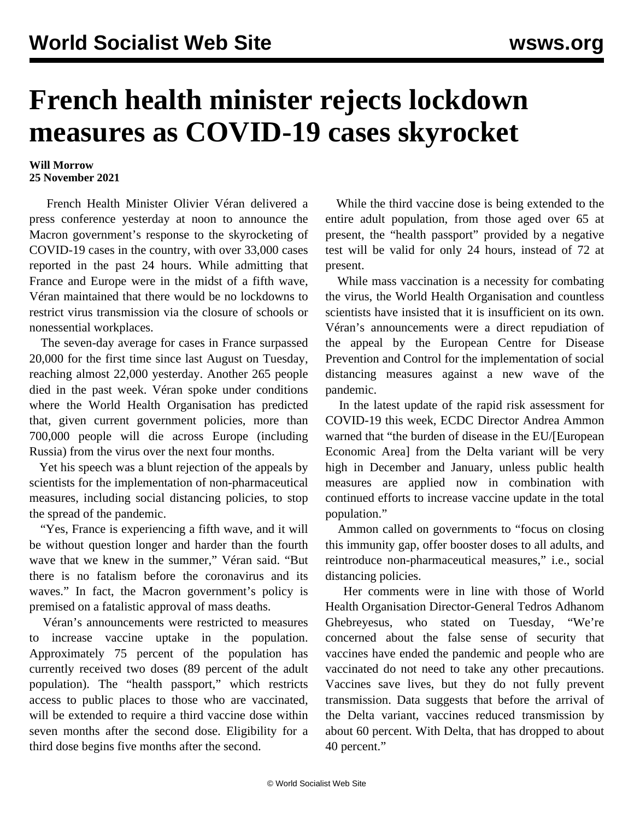## **French health minister rejects lockdown measures as COVID-19 cases skyrocket**

## **Will Morrow 25 November 2021**

 French Health Minister Olivier Véran delivered a press conference yesterday at noon to announce the Macron government's response to the skyrocketing of COVID-19 cases in the country, with over 33,000 cases reported in the past 24 hours. While admitting that France and Europe were in the midst of a fifth wave, Véran maintained that there would be no lockdowns to restrict virus transmission via the closure of schools or nonessential workplaces.

 The seven-day average for cases in France surpassed 20,000 for the first time since last August on Tuesday, reaching almost 22,000 yesterday. Another 265 people died in the past week. Véran spoke under conditions where the World Health Organisation has predicted that, given current government policies, more than 700,000 people will die across Europe (including Russia) from the virus over the next four months.

 Yet his speech was a blunt rejection of the appeals by scientists for the implementation of non-pharmaceutical measures, including social distancing policies, to stop the spread of the pandemic.

 "Yes, France is experiencing a fifth wave, and it will be without question longer and harder than the fourth wave that we knew in the summer," Véran said. "But there is no fatalism before the coronavirus and its waves." In fact, the Macron government's policy is premised on a fatalistic approval of mass deaths.

 Véran's announcements were restricted to measures to increase vaccine uptake in the population. Approximately 75 percent of the population has currently received two doses (89 percent of the adult population). The "health passport," which restricts access to public places to those who are vaccinated, will be extended to require a third vaccine dose within seven months after the second dose. Eligibility for a third dose begins five months after the second.

 While the third vaccine dose is being extended to the entire adult population, from those aged over 65 at present, the "health passport" provided by a negative test will be valid for only 24 hours, instead of 72 at present.

 While mass vaccination is a necessity for combating the virus, the World Health Organisation and countless scientists have insisted that it is insufficient on its own. Véran's announcements were a direct repudiation of the appeal by the European Centre for Disease Prevention and Control for the implementation of social distancing measures against a new wave of the pandemic.

 In the latest update of the rapid risk assessment for COVID-19 this week, ECDC Director Andrea Ammon warned that "the burden of disease in the EU/[European Economic Area] from the Delta variant will be very high in December and January, unless public health measures are applied now in combination with continued efforts to increase vaccine update in the total population."

 Ammon called on governments to "focus on closing this immunity gap, offer booster doses to all adults, and reintroduce non-pharmaceutical measures," i.e., social distancing policies.

 Her comments were in line with those of World Health Organisation Director-General Tedros Adhanom Ghebreyesus, who stated on Tuesday, "We're concerned about the false sense of security that vaccines have ended the pandemic and people who are vaccinated do not need to take any other precautions. Vaccines save lives, but they do not fully prevent transmission. Data suggests that before the arrival of the Delta variant, vaccines reduced transmission by about 60 percent. With Delta, that has dropped to about 40 percent."